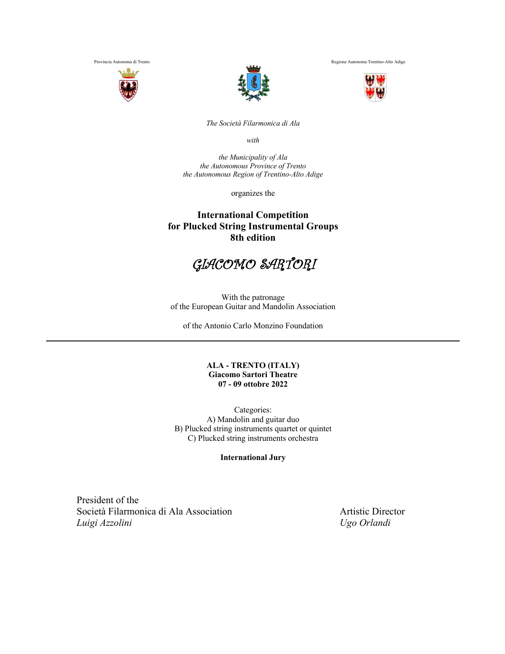



Provincia Autonoma di Trento Regione Autonoma Trentino-Alto Adige



*The Società Filarmonica di Ala*

*with*

*the Municipality of Ala the Autonomous Province of Trento the Autonomous Region of Trentino-Alto Adige*

organizes the

## **International Competition for Plucked String Instrumental Groups 8th edition**



With the patronage of the European Guitar and Mandolin Association

of the Antonio Carlo Monzino Foundation

#### **ALA - TRENTO (ITALY) Giacomo Sartori Theatre 07 - 09 ottobre 2022**

Categories: A) Mandolin and guitar duo B) Plucked string instruments quartet or quintet C) Plucked string instruments orchestra

**International Jury**

President of the Società Filarmonica di Ala Association **Artistic Director**  *Luigi Azzolini Ugo Orlandi*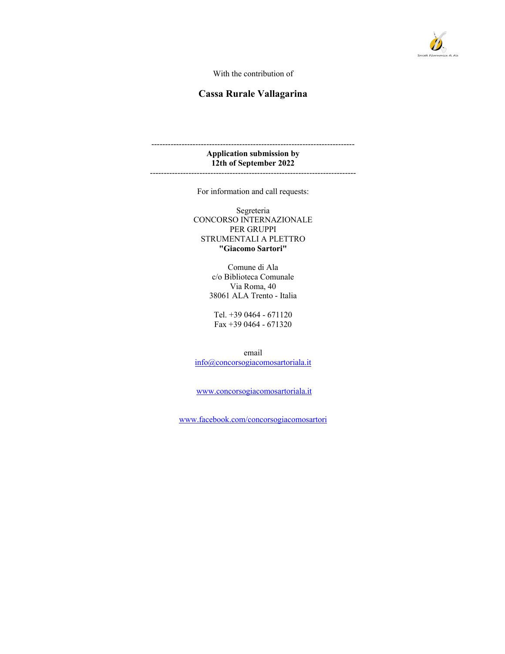

With the contribution of

## **Cassa Rurale Vallagarina**

#### -------------------------------------------------------------------------- **Application submission by 12th of September 2022** ---------------------------------------------------------------------------

For information and call requests:

Segreteria CONCORSO INTERNAZIONALE PER GRUPPI STRUMENTALI A PLETTRO **"Giacomo Sartori"**

> Comune di Ala c/o Biblioteca Comunale Via Roma, 40 38061 ALA Trento - Italia

Tel. +39 0464 - 671120 Fax +39 0464 - 671320

email info@concorsogiacomosartoriala.it

www.concorsogiacomosartoriala.it

www.facebook.com/concorsogiacomosartori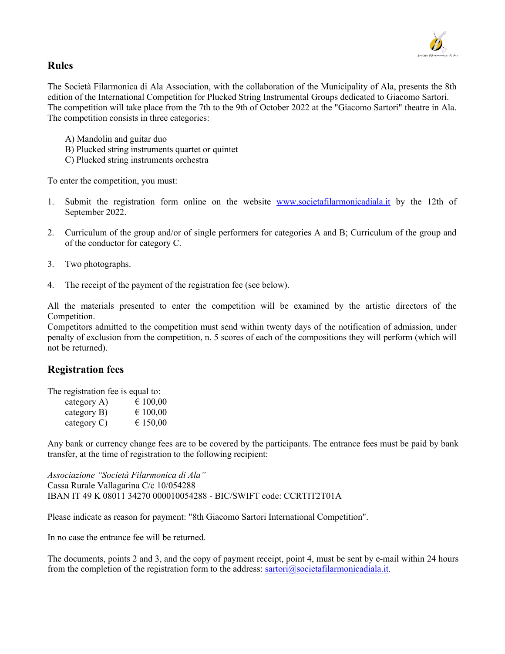

## **Rules**

The Società Filarmonica di Ala Association, with the collaboration of the Municipality of Ala, presents the 8th edition of the International Competition for Plucked String Instrumental Groups dedicated to Giacomo Sartori. The competition will take place from the 7th to the 9th of October 2022 at the "Giacomo Sartori" theatre in Ala. The competition consists in three categories:

- A) Mandolin and guitar duo
- B) Plucked string instruments quartet or quintet
- C) Plucked string instruments orchestra

To enter the competition, you must:

- 1. Submit the registration form online on the website www.societafilarmonicadiala.it by the 12th of September 2022.
- 2. Curriculum of the group and/or of single performers for categories A and B; Curriculum of the group and of the conductor for category C.
- 3. Two photographs.
- 4. The receipt of the payment of the registration fee (see below).

All the materials presented to enter the competition will be examined by the artistic directors of the Competition.

Competitors admitted to the competition must send within twenty days of the notification of admission, under penalty of exclusion from the competition, n. 5 scores of each of the compositions they will perform (which will not be returned).

## **Registration fees**

The registration fee is equal to:

| category A)    | € 100,00 |
|----------------|----------|
| category B)    | € 100,00 |
| category $C$ ) | € 150,00 |

Any bank or currency change fees are to be covered by the participants. The entrance fees must be paid by bank transfer, at the time of registration to the following recipient:

*Associazione "Società Filarmonica di Ala"* Cassa Rurale Vallagarina C/c 10/054288 IBAN IT 49 K 08011 34270 000010054288 - BIC/SWIFT code: CCRTIT2T01A

Please indicate as reason for payment: "8th Giacomo Sartori International Competition".

In no case the entrance fee will be returned.

The documents, points 2 and 3, and the copy of payment receipt, point 4, must be sent by e-mail within 24 hours from the completion of the registration form to the address: sartori@societafilarmonicadiala.it.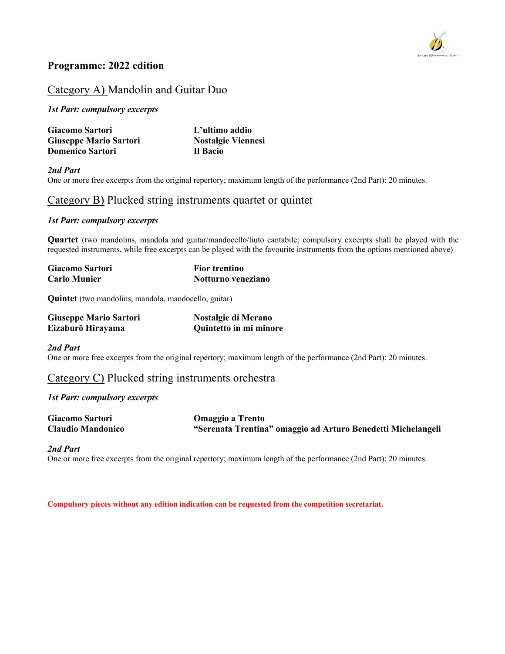

## **Programme: 2022 edition**

# Category A) Mandolin and Guitar Duo

*1st Part: compulsory excerpts*

| Giacomo Sartori               | L'ultimo addio            |  |
|-------------------------------|---------------------------|--|
| <b>Giuseppe Mario Sartori</b> | <b>Nostalgie Viennesi</b> |  |
| <b>Domenico Sartori</b>       | Il Bacio                  |  |

*2nd Part* One or more free excerpts from the original repertory; maximum length of the performance (2nd Part): 20 minutes.

## Category B) Plucked string instruments quartet or quintet

### *1st Part: compulsory excerpts*

**Quartet** (two mandolins, mandola and guitar/mandocello/liuto cantabile; compulsory excerpts shall be played with the requested instruments, while free excerpts can be played with the favourite instruments from the options mentioned above)

| Giacomo Sartori     | <b>Fior trentino</b> |  |
|---------------------|----------------------|--|
| <b>Carlo Munier</b> | Notturno veneziano   |  |

**Quintet** (two mandolins, mandola, mandocello, guitar)

| <b>Giuseppe Mario Sartori</b> | Nostalgie di Merano    |
|-------------------------------|------------------------|
| Eizaburō Hirayama             | Quintetto in mi minore |

*2nd Part*

One or more free excerpts from the original repertory; maximum length of the performance (2nd Part): 20 minutes.

Category C) Plucked string instruments orchestra

*1st Part: compulsory excerpts*

| Giacomo Sartori          | <b>Omaggio a Trento</b>                                      |
|--------------------------|--------------------------------------------------------------|
| <b>Claudio Mandonico</b> | "Serenata Trentina" omaggio ad Arturo Benedetti Michelangeli |

### *2nd Part*

One or more free excerpts from the original repertory; maximum length of the performance (2nd Part): 20 minutes.

**Compulsory pieces without any edition indication can be requested from the competition secretariat.**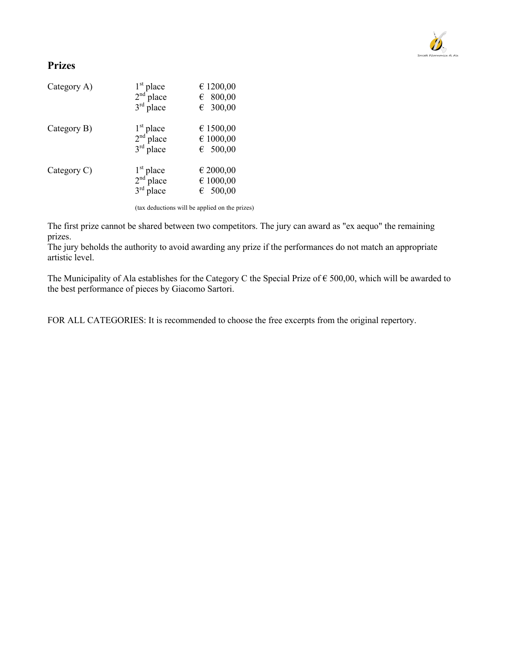

## **Prizes**

| Category A) | $1st$ place<br>$2nd$ place<br>$3rd$ place | € 1200,00<br>$\epsilon$ 800,00<br>€ 300,00 |
|-------------|-------------------------------------------|--------------------------------------------|
| Category B) | $1st$ place<br>$2nd$ place<br>$3rd$ place | € 1500,00<br>€ 1000,00<br>6500,00          |
| Category C) | $1st$ place<br>$2nd$ place<br>$3rd$ place | € 2000,00<br>€ 1000,00<br>6500,00          |

(tax deductions will be applied on the prizes)

The first prize cannot be shared between two competitors. The jury can award as "ex aequo" the remaining prizes.

The jury beholds the authority to avoid awarding any prize if the performances do not match an appropriate artistic level.

The Municipality of Ala establishes for the Category C the Special Prize of  $\epsilon$  500,00, which will be awarded to the best performance of pieces by Giacomo Sartori.

FOR ALL CATEGORIES: It is recommended to choose the free excerpts from the original repertory.